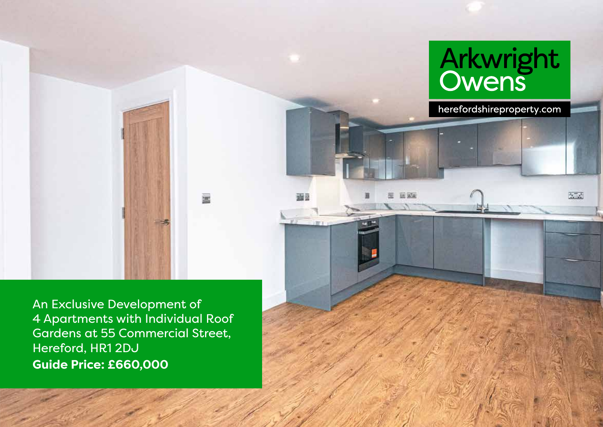

An Exclusive Development of 4 Apartments with Individual Roof Gardens at 55 Commercial Street, Hereford, HR1 2DJ **Guide Price: £660,000**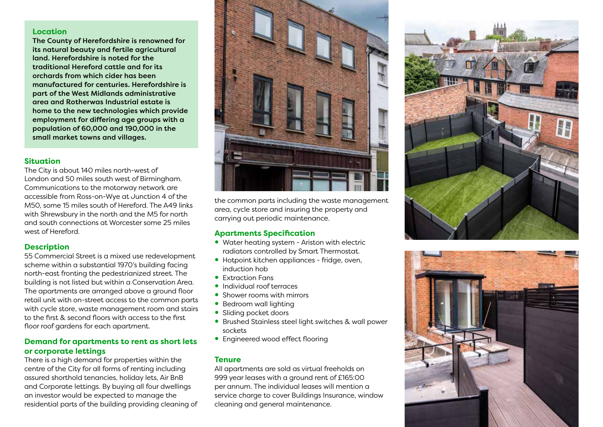### **Location**

The County of Herefordshire is renowned for its natural beauty and fertile agricultural land. Herefordshire is noted for the traditional Hereford cattle and for its orchards from which cider has been manufactured for centuries. Herefordshire is part of the West Midlands administrative area and Rotherwas Industrial estate is home to the new technologies which provide employment for differing age groups with a population of 60,000 and 190,000 in the small market towns and villages.

#### **Situation**

The City is about 140 miles north-west of London and 50 miles south west of Birmingham. Communications to the motorway network are accessible from Ross-on-Wye at Junction 4 of the M50, some 15 miles south of Hereford. The A49 links with Shrewsbury in the north and the M5 for north and south connections at Worcester some 25 miles west of Hereford.

### **Description**

55 Commercial Street is a mixed use redevelopment scheme within a substantial 1970's building facing north-east fronting the pedestrianized street. The building is not listed but within a Conservation Area. The apartments are arranged above a ground floor retail unit with on-street access to the common parts with cycle store, waste management room and stairs to the first & second floors with access to the first floor roof gardens for each apartment.

### **Demand for apartments to rent as short lets or corporate lettings**

There is a high demand for properties within the centre of the City for all forms of renting including assured shorthold tenancies, holiday lets, Air BnB and Corporate lettings. By buying all four dwellings an investor would be expected to manage the residential parts of the building providing cleaning of



the common parts including the waste management area, cycle store and insuring the property and carrying out periodic maintenance.

### **Apartments Specification**

- Water heating system Ariston with electric radiators controlled by Smart Thermostat.
- Hotpoint kitchen appliances fridge, oven, induction hob
- Extraction Fans
- Individual roof terraces
- Shower rooms with mirrors
- Bedroom wall lighting
- Sliding pocket doors
- Brushed Stainless steel light switches & wall power sockets
- Engineered wood effect flooring

#### **Tenure**

All apartments are sold as virtual freeholds on 999 year leases with a ground rent of £165:00 per annum. The individual leases will mention a service charge to cover Buildings Insurance, window cleaning and general maintenance.



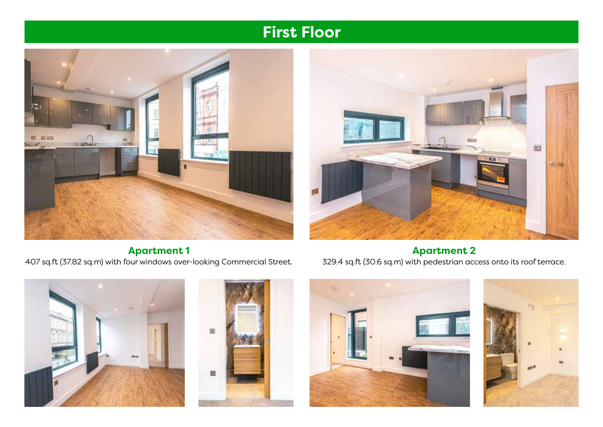# **First Floor**



BOI.  $35 - 100$ 

**Apartment 1** 

407 sq.ft (37.82 sq.m) with four windows over-looking Commercial Street. **Apartment 2**  329.4 sq.ft (30.6 sq.m) with pedestrian access onto its roof terrace.







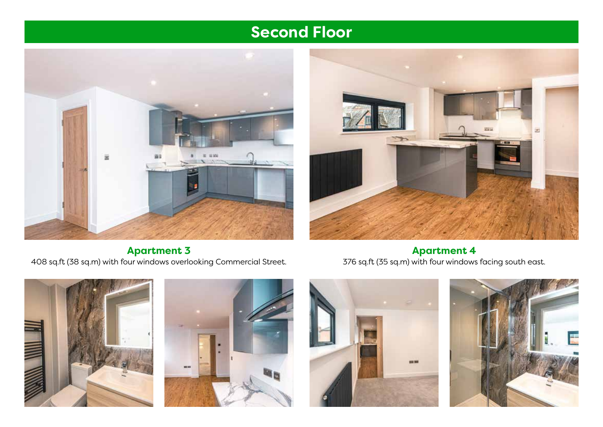# **Second Floor**





**Apartment 3**  408 sq.ft (38 sq.m) with four windows overlooking Commercial Street.

**Apartment 4**  376 sq.ft (35 sq.m) with four windows facing south east.







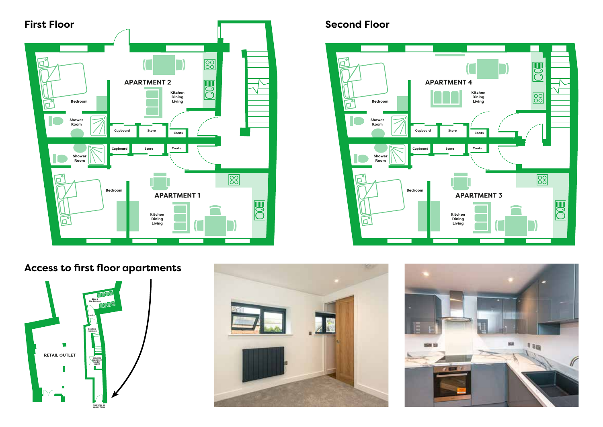

## **Second Floor**



### **Access to first floor apartments Up from basement**